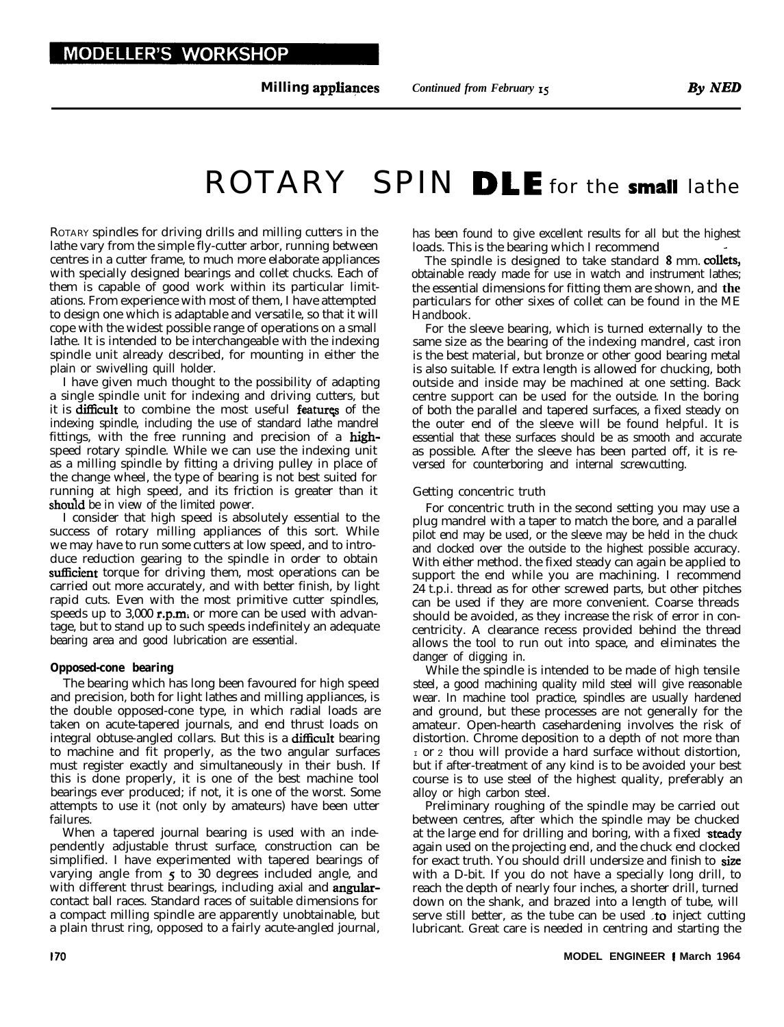**Milling appliapces** *Continued from February 15*

# ROTARY SPIN DLE for the small lathe

ROTARY spindles for driving drills and milling cutters in the lathe vary from the simple fly-cutter arbor, running between centres in a cutter frame, to much more elaborate appliances with specially designed bearings and collet chucks. Each of them is capable of good work within its particular limitations. From experience with most of them, I have attempted to design one which is adaptable and versatile, so that it will cope with the widest possible range of operations on a small lathe. It is intended to be interchangeable with the indexing spindle unit already described, for mounting in either the plain or swivelling quill holder.

I have given much thought to the possibility of adapting a single spindle unit for indexing and driving cutters, but it is difficult to combine the most useful features of the indexing spindle, including the use of standard lathe mandrel fittings, with the free running and precision of a highspeed rotary spindle. While we can use the indexing unit as a milling spindle by fitting a driving pulley in place of the change wheel, the type of bearing is not best suited for running at high speed, and its friction is greater than it should be in view of the limited power.

I consider that high speed is absolutely essential to the success of rotary milling appliances of this sort. While we may have to run some cutters at low speed, and to introduce reduction gearing to the spindle in order to obtain sufficient torque for driving them, most operations can be carried out more accurately, and with better finish, by light rapid cuts. Even with the most primitive cutter spindles, speeds up to 3,000 r.p.m. or more can be used with advantage, but to stand up to such speeds indefinitely an adequate bearing area and good lubrication are essential.

#### **Opposed-cone bearing**

The bearing which has long been favoured for high speed and precision, both for light lathes and milling appliances, is the double opposed-cone type, in which radial loads are taken on acute-tapered journals, and end thrust loads on integral obtuse-angled collars. But this is a **difficult** bearing to machine and fit properly, as the two angular surfaces must register exactly and simultaneously in their bush. If this is done properly, it is one of the best machine tool bearings ever produced; if not, it is one of the worst. Some attempts to use it (not only by amateurs) have been utter failures.

When a tapered journal bearing is used with an independently adjustable thrust surface, construction can be simplified. I have experimented with tapered bearings of varying angle from  $\overline{5}$  to 30 degrees included angle, and with different thrust bearings, including axial and **angular**contact ball races. Standard races of suitable dimensions for a compact milling spindle are apparently unobtainable, but a plain thrust ring, opposed to a fairly acute-angled journal, has been found to give excellent results for all but the highest loads. This is the bearing which I recommend

The spindle is designed to take standard 8 mm. collets, obtainable ready made for use in watch and instrument lathes; the essential dimensions for fitting them are shown, and **the** particulars for other sixes of collet can be found in the ME Handbook.

For the sleeve bearing, which is turned externally to the same size as the bearing of the indexing mandrel, cast iron is the best material, but bronze or other good bearing metal is also suitable. If extra length is allowed for chucking, both outside and inside may be machined at one setting. Back centre support can be used for the outside. In the boring of both the parallel and tapered surfaces, a fixed steady on the outer end of the sleeve will be found helpful. It is essential that these surfaces should be as smooth and accurate as possible. After the sleeve has been parted off, it is reversed for counterboring and internal screwcutting.

#### Getting concentric truth

For concentric truth in the second setting you may use a plug mandrel with a taper to match the bore, and a parallel pilot end may be used, or the sleeve may be held in the chuck and clocked over the outside to the highest possible accuracy. With either method. the fixed steady can again be applied to support the end while you are machining. I recommend 24 t.p.i. thread as for other screwed parts, but other pitches can be used if they are more convenient. Coarse threads should be avoided, as they increase the risk of error in concentricity. A clearance recess provided behind the thread allows the tool to run out into space, and eliminates the danger of digging in.

While the spindle is intended to be made of high tensile steel, a good machining quality mild steel will give reasonable wear. In machine tool practice, spindles are usually hardened and ground, but these processes are not generally for the amateur. Open-hearth casehardening involves the risk of distortion. Chrome deposition to a depth of not more than  $\sigma$  is a thou will provide a hard surface without distortion, but if after-treatment of any kind is to be avoided your best course is to use steel of the highest quality, preferably an alloy or high carbon steel.

Preliminary roughing of the spindle may be carried out between centres, after which the spindle may be chucked at the large end for drilling and boring, with a fixed steady again used on the projecting end, and the chuck end clocked for exact truth. You should drill undersize and finish to size with a D-bit. If you do not have a specially long drill, to reach the depth of nearly four inches, a shorter drill, turned down on the shank, and brazed into a length of tube, will serve still better, as the tube can be used  $\lambda$  to inject cutting lubricant. Great care is needed in centring and starting the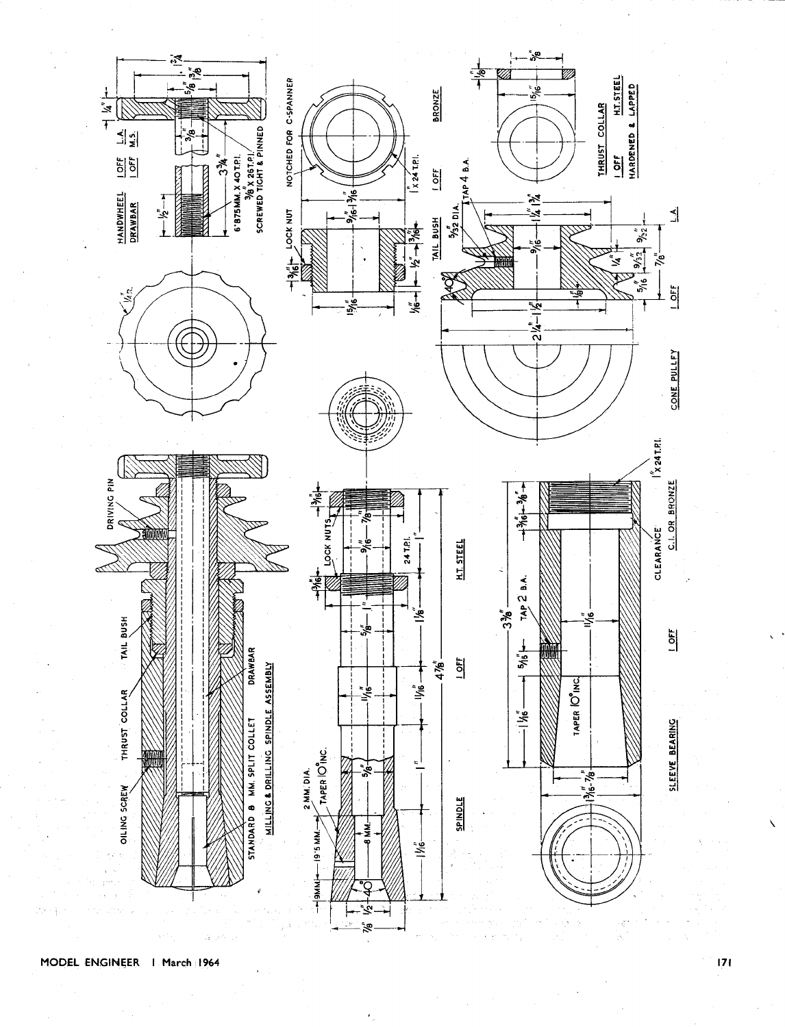

### MODEL ENGINEER | March 1964

 $|71$ 

Ñ